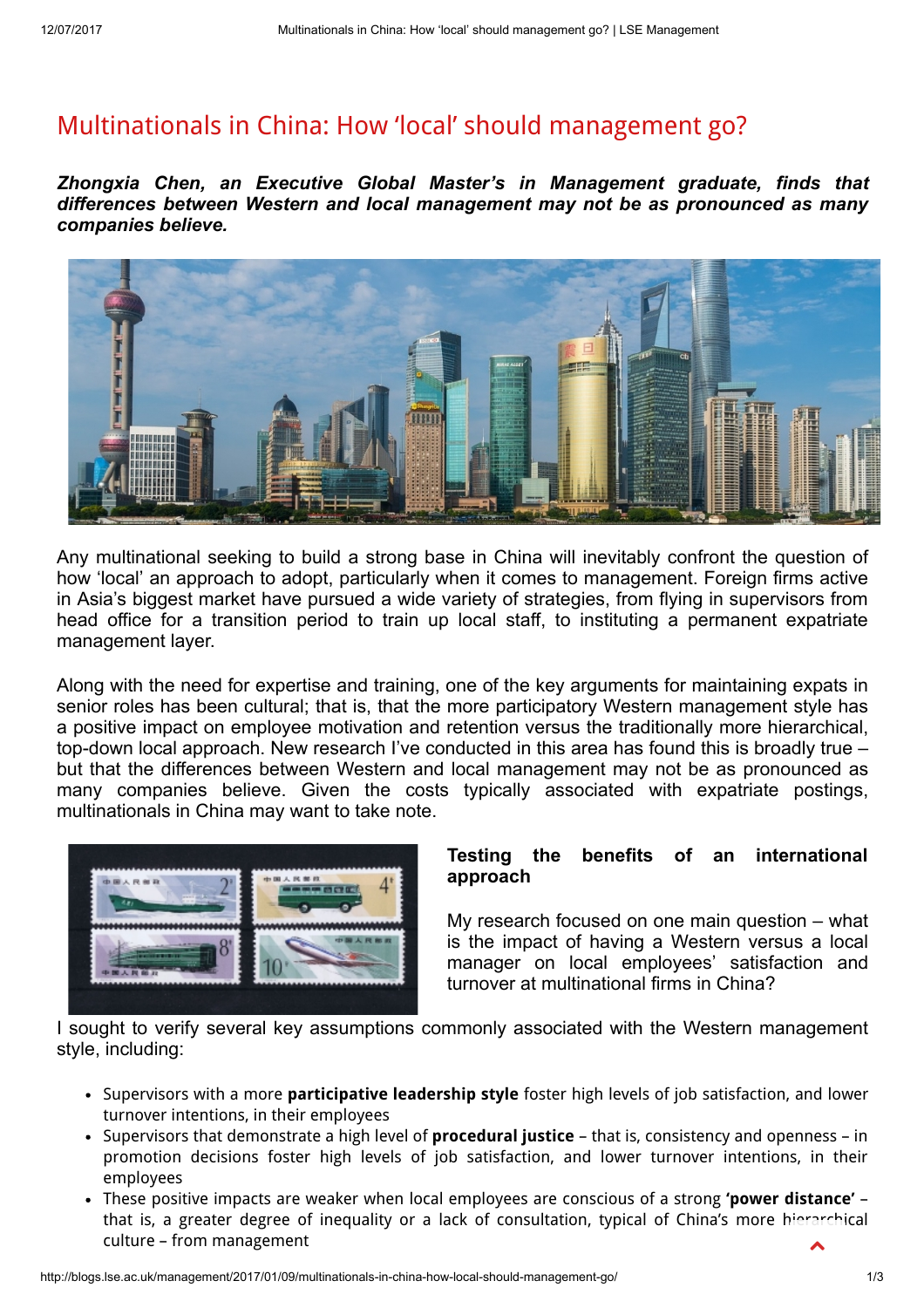# [Multinationals](http://blogs.lse.ac.uk/management/2017/01/09/multinationals-in-china-how-local-should-management-go/) in China: How 'local' should management go?

Zhongxia Chen, an Executive Global Master's in Management graduate, finds that differences between Western and local management may not be as pronounced as many companies believe.



Any multinational seeking to build a strong base in China will inevitably confront the question of how 'local' an approach to adopt, particularly when it comes to management. Foreign firms active in Asia's biggest market have pursued a wide variety of strategies, from flying in supervisors from head office for a transition period to train up local staff, to instituting a permanent expatriate management layer.

Along with the need for expertise and training, one of the key arguments for maintaining expats in senior roles has been cultural; that is, that the more participatory Western management style has a positive impact on employee motivation and retention versus the traditionally more hierarchical, top-down local approach. New research I've conducted in this area has found this is broadly true – but that the differences between Western and local management may not be as pronounced as many companies believe. Given the costs typically associated with expatriate postings, multinationals in China may want to take note.



## Testing the benefits of an international approach

My research focused on one main question – what is the impact of having a Western versus a local manager on local employees' satisfaction and turnover at multinational firms in China?

I sought to verify several key assumptions commonly associated with the Western management style, including:

- Supervisors with a more **participative leadership style** foster high levels of job satisfaction, and lower turnover intentions, in their employees
- Supervisors that demonstrate a high level of **procedural justice** that is, consistency and openness in promotion decisions foster high levels of job satisfaction, and lower turnover intentions, in their employees
- These positive impacts are weaker when local employees are conscious of a strong 'power distance' that is, a greater degree of inequality or a lack of consultation, typical of China's more hierarchical culture – from management  $\blacktriangle$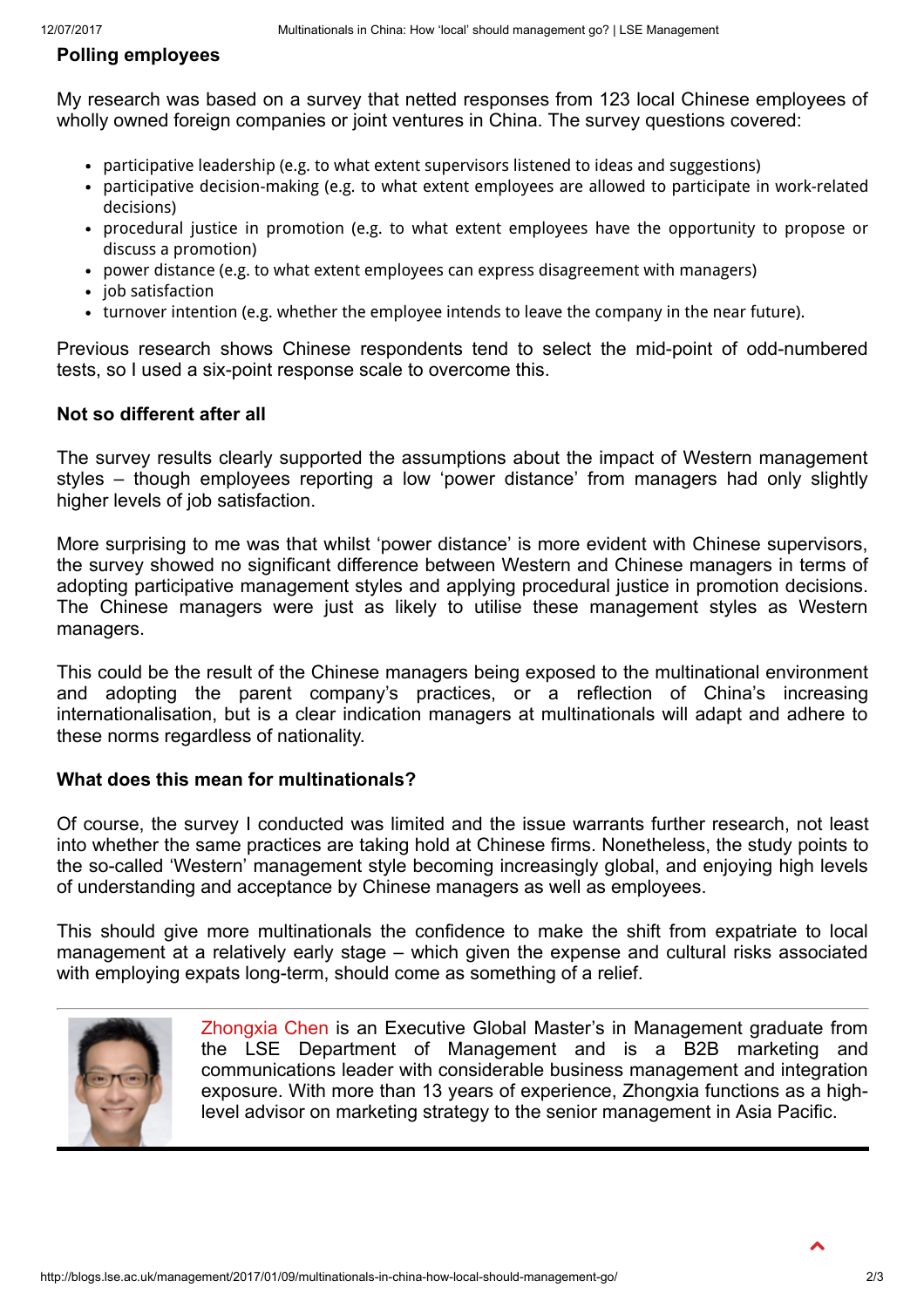# Polling employees

My research was based on a survey that netted responses from 123 local Chinese employees of wholly owned foreign companies or joint ventures in China. The survey questions covered:

- participative leadership (e.g. to what extent supervisors listened to ideas and suggestions)
- participative decision-making (e.g. to what extent employees are allowed to participate in work-related decisions)
- procedural justice in promotion (e.g. to what extent employees have the opportunity to propose or discuss a promotion)
- power distance (e.g. to what extent employees can express disagreement with managers)
- job satisfaction
- turnover intention (e.g. whether the employee intends to leave the company in the near future).

Previous research shows Chinese respondents tend to select the mid-point of odd-numbered tests, so I used a six-point response scale to overcome this.

### Not so different after all

The survey results clearly supported the assumptions about the impact of Western management styles – though employees reporting a low 'power distance' from managers had only slightly higher levels of job satisfaction.

More surprising to me was that whilst 'power distance' is more evident with Chinese supervisors, the survey showed no significant difference between Western and Chinese managers in terms of adopting participative management styles and applying procedural justice in promotion decisions. The Chinese managers were just as likely to utilise these management styles as Western managers.

This could be the result of the Chinese managers being exposed to the multinational environment and adopting the parent company's practices, or a reflection of China's increasing internationalisation, but is a clear indication managers at multinationals will adapt and adhere to these norms regardless of nationality.

### What does this mean for multinationals?

Of course, the survey I conducted was limited and the issue warrants further research, not least into whether the same practices are taking hold at Chinese firms. Nonetheless, the study points to the so-called 'Western' management style becoming increasingly global, and enjoying high levels of understanding and acceptance by Chinese managers as well as employees.

This should give more multinationals the confidence to make the shift from expatriate to local management at a relatively early stage – which given the expense and cultural risks associated with employing expats long-term, should come as something of a relief.



[Zhongxia](https://www.linkedin.com/in/zhongxiachen/) Chen is an Executive Global Master's in Management graduate from the LSE Department of Management and is a B2B marketing and communications leader with considerable business management and integration exposure. With more than 13 years of experience, Zhongxia functions as a highlevel advisor on marketing strategy to the senior management in Asia Pacific.

 $\blacktriangle$